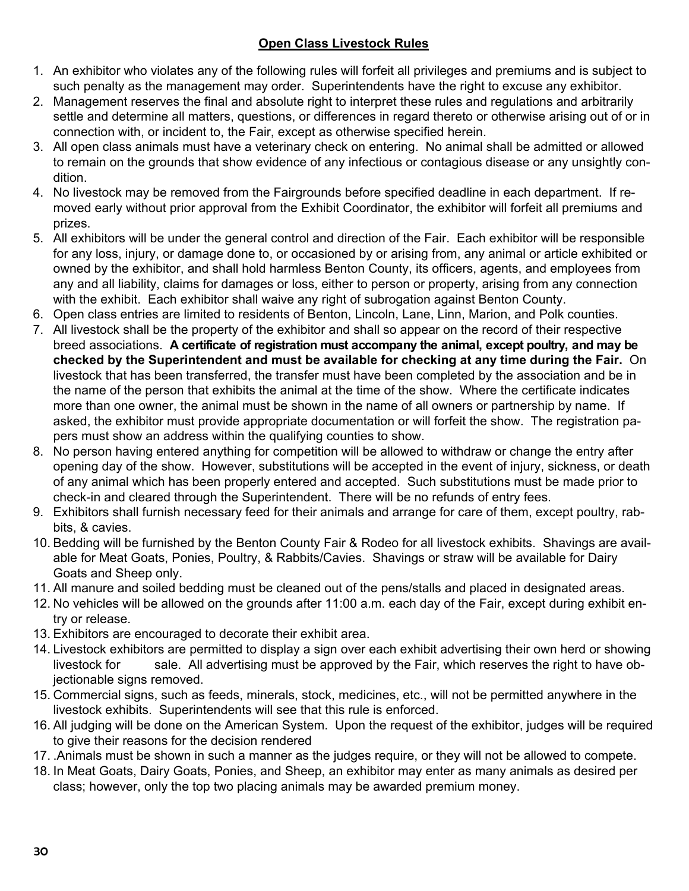#### **Open Class Livestock Rules**

- 1. An exhibitor who violates any of the following rules will forfeit all privileges and premiums and is subject to such penalty as the management may order. Superintendents have the right to excuse any exhibitor.
- 2. Management reserves the final and absolute right to interpret these rules and regulations and arbitrarily settle and determine all matters, questions, or differences in regard thereto or otherwise arising out of or in connection with, or incident to, the Fair, except as otherwise specified herein.
- 3. All open class animals must have a veterinary check on entering. No animal shall be admitted or allowed to remain on the grounds that show evidence of any infectious or contagious disease or any unsightly condition.
- 4. No livestock may be removed from the Fairgrounds before specified deadline in each department. If removed early without prior approval from the Exhibit Coordinator, the exhibitor will forfeit all premiums and prizes.
- 5. All exhibitors will be under the general control and direction of the Fair. Each exhibitor will be responsible for any loss, injury, or damage done to, or occasioned by or arising from, any animal or article exhibited or owned by the exhibitor, and shall hold harmless Benton County, its officers, agents, and employees from any and all liability, claims for damages or loss, either to person or property, arising from any connection with the exhibit. Each exhibitor shall waive any right of subrogation against Benton County.
- 6. Open class entries are limited to residents of Benton, Lincoln, Lane, Linn, Marion, and Polk counties.
- 7. All livestock shall be the property of the exhibitor and shall so appear on the record of their respective breed associations. **A certificate of registration must accompany the animal, except poultry, and may be checked by the Superintendent and must be available for checking at any time during the Fair.** On livestock that has been transferred, the transfer must have been completed by the association and be in the name of the person that exhibits the animal at the time of the show. Where the certificate indicates more than one owner, the animal must be shown in the name of all owners or partnership by name. If asked, the exhibitor must provide appropriate documentation or will forfeit the show. The registration papers must show an address within the qualifying counties to show.
- 8. No person having entered anything for competition will be allowed to withdraw or change the entry after opening day of the show. However, substitutions will be accepted in the event of injury, sickness, or death of any animal which has been properly entered and accepted. Such substitutions must be made prior to check-in and cleared through the Superintendent. There will be no refunds of entry fees.
- 9. Exhibitors shall furnish necessary feed for their animals and arrange for care of them, except poultry, rabbits, & cavies.
- 10. Bedding will be furnished by the Benton County Fair & Rodeo for all livestock exhibits. Shavings are available for Meat Goats, Ponies, Poultry, & Rabbits/Cavies. Shavings or straw will be available for Dairy Goats and Sheep only.
- 11. All manure and soiled bedding must be cleaned out of the pens/stalls and placed in designated areas.
- 12. No vehicles will be allowed on the grounds after 11:00 a.m. each day of the Fair, except during exhibit entry or release.
- 13. Exhibitors are encouraged to decorate their exhibit area.
- 14. Livestock exhibitors are permitted to display a sign over each exhibit advertising their own herd or showing livestock for sale. All advertising must be approved by the Fair, which reserves the right to have objectionable signs removed.
- 15. Commercial signs, such as feeds, minerals, stock, medicines, etc., will not be permitted anywhere in the livestock exhibits. Superintendents will see that this rule is enforced.
- 16. All judging will be done on the American System. Upon the request of the exhibitor, judges will be required to give their reasons for the decision rendered
- 17. .Animals must be shown in such a manner as the judges require, or they will not be allowed to compete.
- 18. In Meat Goats, Dairy Goats, Ponies, and Sheep, an exhibitor may enter as many animals as desired per class; however, only the top two placing animals may be awarded premium money.